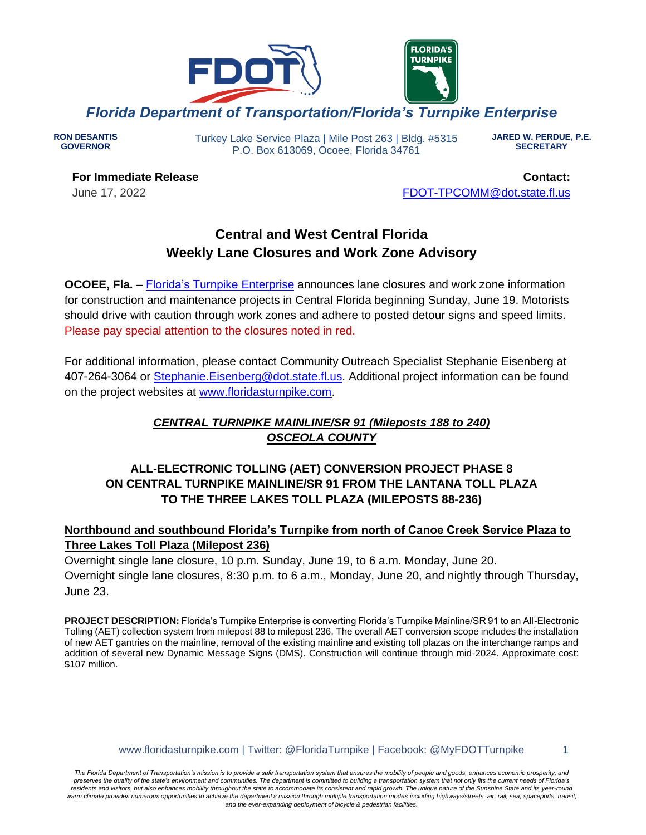

**RON DESANTIS GOVERNOR**

Turkey Lake Service Plaza | Mile Post 263 | Bldg. #5315 P.O. Box 613069, Ocoee, Florida 34761

**JARED W. PERDUE, P.E. SECRETARY**

**For Immediate Release** June 17, 2022

**Contact:** [FDOT-TPCOMM@dot.state.fl.us](mailto:fdot-tpcomm@dot.state.fl.us)

# **Central and West Central Florida Weekly Lane Closures and Work Zone Advisory**

**OCOEE, Fla.** – [Florida's Turnpike](http://www.floridasturnpike.com/) Enterprise announces lane closures and work zone information for construction and maintenance projects in Central Florida beginning Sunday, June 19. Motorists should drive with caution through work zones and adhere to posted detour signs and speed limits. Please pay special attention to the closures noted in red.

For additional information, please contact Community Outreach Specialist Stephanie Eisenberg at 407-264-3064 or [Stephanie.Eisenberg@dot.state.fl.us.](mailto:Stephanie.Eisenberg@dot.state.fl.us) Additional project information can be found on the project websites at [www.floridasturnpike.com.](http://www.floridasturnpike.com/)

## *CENTRAL TURNPIKE MAINLINE/SR 91 (Mileposts 188 to 240) OSCEOLA COUNTY*

## **ALL-ELECTRONIC TOLLING (AET) CONVERSION PROJECT PHASE 8 ON CENTRAL TURNPIKE MAINLINE/SR 91 FROM THE LANTANA TOLL PLAZA TO THE THREE LAKES TOLL PLAZA (MILEPOSTS 88-236)**

### **Northbound and southbound Florida's Turnpike from north of Canoe Creek Service Plaza to Three Lakes Toll Plaza (Milepost 236)**

Overnight single lane closure, 10 p.m. Sunday, June 19, to 6 a.m. Monday, June 20.

Overnight single lane closures, 8:30 p.m. to 6 a.m., Monday, June 20, and nightly through Thursday, June 23.

**PROJECT DESCRIPTION:** Florida's Turnpike Enterprise is converting Florida's Turnpike Mainline/SR 91 to an All-Electronic Tolling (AET) collection system from milepost 88 to milepost 236. The overall AET conversion scope includes the installation of new AET gantries on the mainline, removal of the existing mainline and existing toll plazas on the interchange ramps and addition of several new Dynamic Message Signs (DMS). Construction will continue through mid-2024. Approximate cost: \$107 million.

www.floridasturnpike.com | Twitter: @FloridaTurnpike | Facebook: @MyFDOTTurnpike 1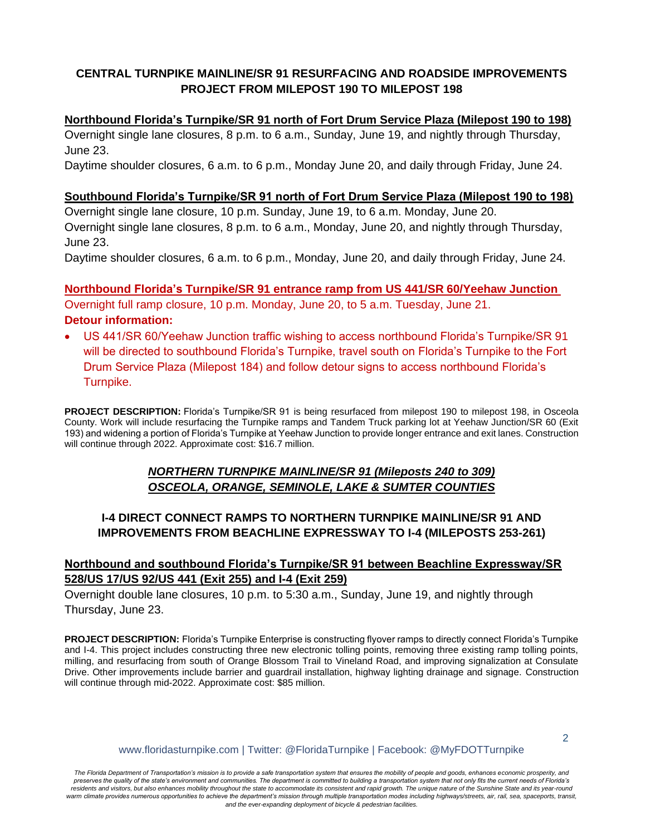## **CENTRAL TURNPIKE MAINLINE/SR 91 RESURFACING AND ROADSIDE IMPROVEMENTS PROJECT FROM MILEPOST 190 TO MILEPOST 198**

### **Northbound Florida's Turnpike/SR 91 north of Fort Drum Service Plaza (Milepost 190 to 198)**

Overnight single lane closures, 8 p.m. to 6 a.m., Sunday, June 19, and nightly through Thursday, June 23.

Daytime shoulder closures, 6 a.m. to 6 p.m., Monday June 20, and daily through Friday, June 24.

### **Southbound Florida's Turnpike/SR 91 north of Fort Drum Service Plaza (Milepost 190 to 198)**

Overnight single lane closure, 10 p.m. Sunday, June 19, to 6 a.m. Monday, June 20. Overnight single lane closures, 8 p.m. to 6 a.m., Monday, June 20, and nightly through Thursday, June 23.

Daytime shoulder closures, 6 a.m. to 6 p.m., Monday, June 20, and daily through Friday, June 24.

**Northbound Florida's Turnpike/SR 91 entrance ramp from US 441/SR 60/Yeehaw Junction** Overnight full ramp closure, 10 p.m. Monday, June 20, to 5 a.m. Tuesday, June 21. **Detour information:**

• US 441/SR 60/Yeehaw Junction traffic wishing to access northbound Florida's Turnpike/SR 91 will be directed to southbound Florida's Turnpike, travel south on Florida's Turnpike to the Fort Drum Service Plaza (Milepost 184) and follow detour signs to access northbound Florida's Turnpike.

**PROJECT DESCRIPTION:** Florida's Turnpike/SR 91 is being resurfaced from milepost 190 to milepost 198, in Osceola County. Work will include resurfacing the Turnpike ramps and Tandem Truck parking lot at Yeehaw Junction/SR 60 (Exit 193) and widening a portion of Florida's Turnpike at Yeehaw Junction to provide longer entrance and exit lanes. Construction will continue through 2022. Approximate cost: \$16.7 million.

### *NORTHERN TURNPIKE MAINLINE/SR 91 (Mileposts 240 to 309) OSCEOLA, ORANGE, SEMINOLE, LAKE & SUMTER COUNTIES*

### **I-4 DIRECT CONNECT RAMPS TO NORTHERN TURNPIKE MAINLINE/SR 91 AND IMPROVEMENTS FROM BEACHLINE EXPRESSWAY TO I-4 (MILEPOSTS 253-261)**

## **Northbound and southbound Florida's Turnpike/SR 91 between Beachline Expressway/SR 528/US 17/US 92/US 441 (Exit 255) and I-4 (Exit 259)**

Overnight double lane closures, 10 p.m. to 5:30 a.m., Sunday, June 19, and nightly through Thursday, June 23.

**PROJECT DESCRIPTION:** Florida's Turnpike Enterprise is constructing flyover ramps to directly connect Florida's Turnpike and I-4. This project includes constructing three new electronic tolling points, removing three existing ramp tolling points, milling, and resurfacing from south of Orange Blossom Trail to Vineland Road, and improving signalization at Consulate Drive. Other improvements include barrier and guardrail installation, highway lighting drainage and signage. Construction will continue through mid-2022. Approximate cost: \$85 million.

www.floridasturnpike.com | Twitter: @FloridaTurnpike | Facebook: @MyFDOTTurnpike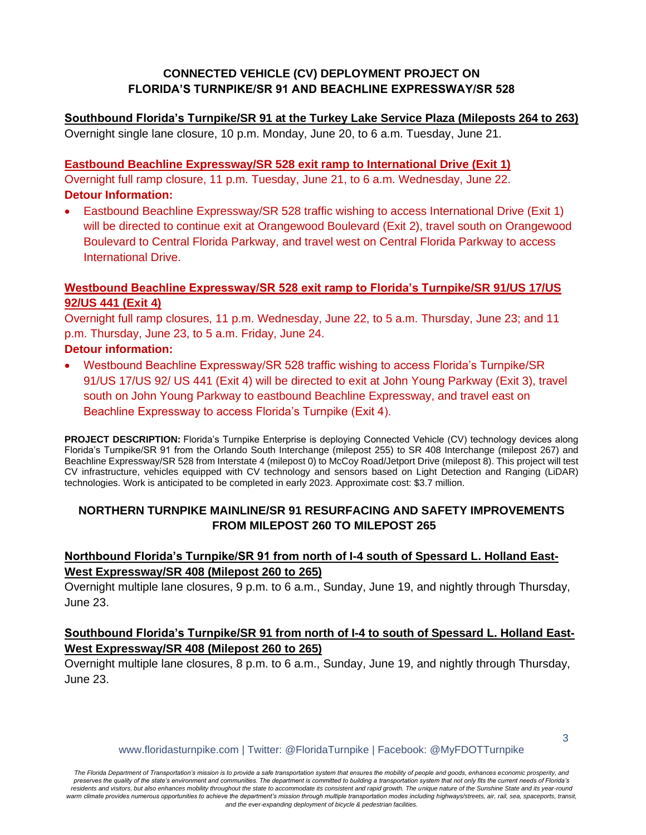## **CONNECTED VEHICLE (CV) DEPLOYMENT PROJECT ON FLORIDA'S TURNPIKE/SR 91 AND BEACHLINE EXPRESSWAY/SR 528**

**Southbound Florida's Turnpike/SR 91 at the Turkey Lake Service Plaza (Mileposts 264 to 263)** Overnight single lane closure, 10 p.m. Monday, June 20, to 6 a.m. Tuesday, June 21.

**Eastbound Beachline Expressway/SR 528 exit ramp to International Drive (Exit 1)** Overnight full ramp closure, 11 p.m. Tuesday, June 21, to 6 a.m. Wednesday, June 22. **Detour Information:**

• Eastbound Beachline Expressway/SR 528 traffic wishing to access International Drive (Exit 1) will be directed to continue exit at Orangewood Boulevard (Exit 2), travel south on Orangewood Boulevard to Central Florida Parkway, and travel west on Central Florida Parkway to access International Drive.

### **Westbound Beachline Expressway/SR 528 exit ramp to Florida's Turnpike/SR 91/US 17/US 92/US 441 (Exit 4)**

Overnight full ramp closures, 11 p.m. Wednesday, June 22, to 5 a.m. Thursday, June 23; and 11 p.m. Thursday, June 23, to 5 a.m. Friday, June 24.

### **Detour information:**

• Westbound Beachline Expressway/SR 528 traffic wishing to access Florida's Turnpike/SR 91/US 17/US 92/ US 441 (Exit 4) will be directed to exit at John Young Parkway (Exit 3), travel south on John Young Parkway to eastbound Beachline Expressway, and travel east on Beachline Expressway to access Florida's Turnpike (Exit 4).

**PROJECT DESCRIPTION:** Florida's Turnpike Enterprise is deploying Connected Vehicle (CV) technology devices along Florida's Turnpike/SR 91 from the Orlando South Interchange (milepost 255) to SR 408 Interchange (milepost 267) and Beachline Expressway/SR 528 from Interstate 4 (milepost 0) to McCoy Road/Jetport Drive (milepost 8). This project will test CV infrastructure, vehicles equipped with CV technology and sensors based on Light Detection and Ranging (LiDAR) technologies. Work is anticipated to be completed in early 2023. Approximate cost: \$3.7 million.

### **NORTHERN TURNPIKE MAINLINE/SR 91 RESURFACING AND SAFETY IMPROVEMENTS FROM MILEPOST 260 TO MILEPOST 265**

## **Northbound Florida's Turnpike/SR 91 from north of I-4 south of Spessard L. Holland East-West Expressway/SR 408 (Milepost 260 to 265)**

Overnight multiple lane closures, 9 p.m. to 6 a.m., Sunday, June 19, and nightly through Thursday, June 23.

### Southbound Florida's Turnpike/SR 91 from north of I-4 to south of Spessard L. Holland East-**West Expressway/SR 408 (Milepost 260 to 265)**

Overnight multiple lane closures, 8 p.m. to 6 a.m., Sunday, June 19, and nightly through Thursday, June 23.

www.floridasturnpike.com | Twitter: @FloridaTurnpike | Facebook: @MyFDOTTurnpike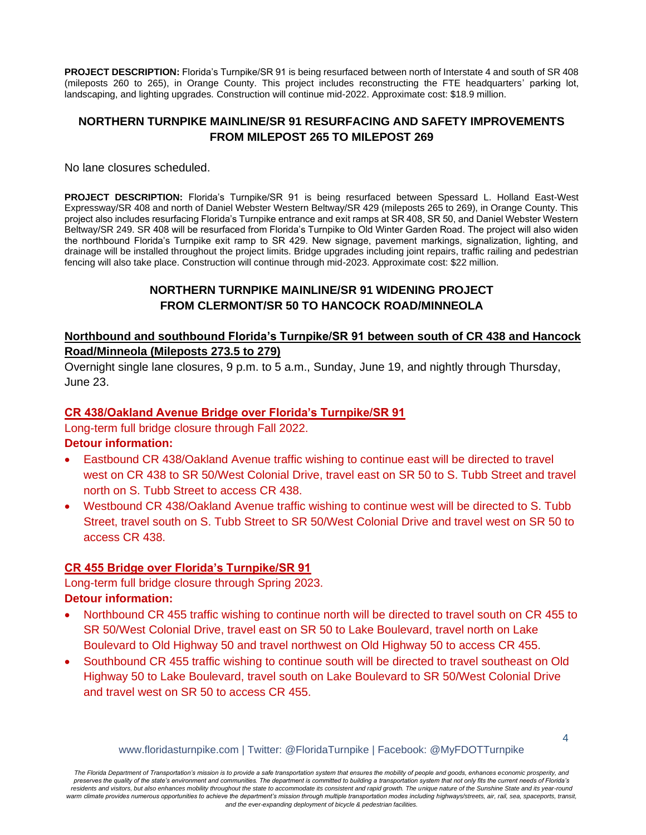**PROJECT DESCRIPTION:** Florida's Turnpike/SR 91 is being resurfaced between north of Interstate 4 and south of SR 408 (mileposts 260 to 265), in Orange County. This project includes reconstructing the FTE headquarters' parking lot, landscaping, and lighting upgrades. Construction will continue mid-2022. Approximate cost: \$18.9 million.

### **NORTHERN TURNPIKE MAINLINE/SR 91 RESURFACING AND SAFETY IMPROVEMENTS FROM MILEPOST 265 TO MILEPOST 269**

No lane closures scheduled.

**PROJECT DESCRIPTION:** Florida's Turnpike/SR 91 is being resurfaced between Spessard L. Holland East-West Expressway/SR 408 and north of Daniel Webster Western Beltway/SR 429 (mileposts 265 to 269), in Orange County. This project also includes resurfacing Florida's Turnpike entrance and exit ramps at SR 408, SR 50, and Daniel Webster Western Beltway/SR 249. SR 408 will be resurfaced from Florida's Turnpike to Old Winter Garden Road. The project will also widen the northbound Florida's Turnpike exit ramp to SR 429. New signage, pavement markings, signalization, lighting, and drainage will be installed throughout the project limits. Bridge upgrades including joint repairs, traffic railing and pedestrian fencing will also take place. Construction will continue through mid-2023. Approximate cost: \$22 million.

### **NORTHERN TURNPIKE MAINLINE/SR 91 WIDENING PROJECT FROM CLERMONT/SR 50 TO HANCOCK ROAD/MINNEOLA**

### **Northbound and southbound Florida's Turnpike/SR 91 between south of CR 438 and Hancock Road/Minneola (Mileposts 273.5 to 279)**

Overnight single lane closures, 9 p.m. to 5 a.m., Sunday, June 19, and nightly through Thursday, June 23.

#### **CR 438/Oakland Avenue Bridge over Florida's Turnpike/SR 91**

Long-term full bridge closure through Fall 2022.

#### **Detour information:**

- Eastbound CR 438/Oakland Avenue traffic wishing to continue east will be directed to travel west on CR 438 to SR 50/West Colonial Drive, travel east on SR 50 to S. Tubb Street and travel north on S. Tubb Street to access CR 438.
- Westbound CR 438/Oakland Avenue traffic wishing to continue west will be directed to S. Tubb Street, travel south on S. Tubb Street to SR 50/West Colonial Drive and travel west on SR 50 to access CR 438.

#### **CR 455 Bridge over Florida's Turnpike/SR 91**

Long-term full bridge closure through Spring 2023.

#### **Detour information:**

- Northbound CR 455 traffic wishing to continue north will be directed to travel south on CR 455 to SR 50/West Colonial Drive, travel east on SR 50 to Lake Boulevard, travel north on Lake Boulevard to Old Highway 50 and travel northwest on Old Highway 50 to access CR 455.
- Southbound CR 455 traffic wishing to continue south will be directed to travel southeast on Old Highway 50 to Lake Boulevard, travel south on Lake Boulevard to SR 50/West Colonial Drive and travel west on SR 50 to access CR 455.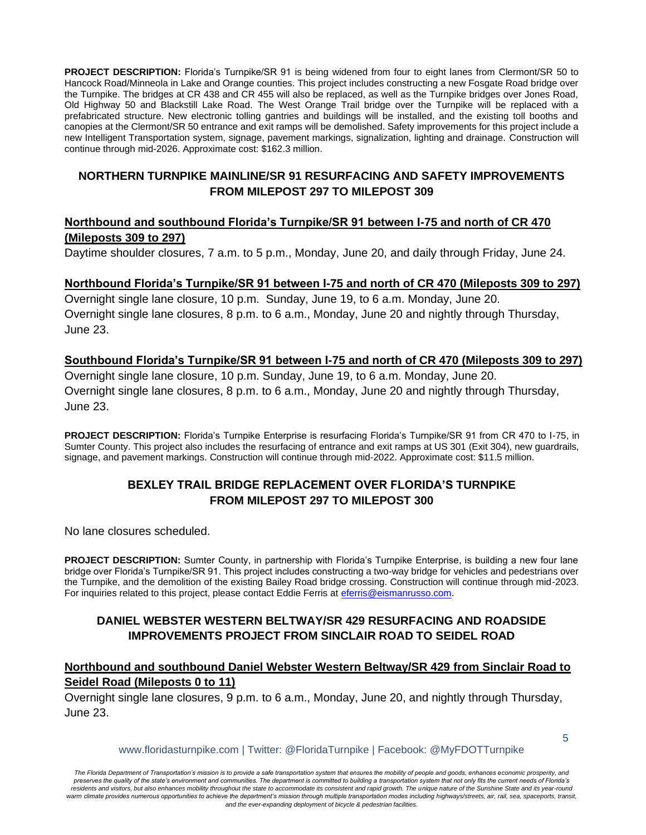**PROJECT DESCRIPTION:** Florida's Turnpike/SR 91 is being widened from four to eight lanes from Clermont/SR 50 to Hancock Road/Minneola in Lake and Orange counties. This project includes constructing a new Fosgate Road bridge over the Turnpike. The bridges at CR 438 and CR 455 will also be replaced, as well as the Turnpike bridges over Jones Road, Old Highway 50 and Blackstill Lake Road. The West Orange Trail bridge over the Turnpike will be replaced with a prefabricated structure. New electronic tolling gantries and buildings will be installed, and the existing toll booths and canopies at the Clermont/SR 50 entrance and exit ramps will be demolished. Safety improvements for this project include a new Intelligent Transportation system, signage, pavement markings, signalization, lighting and drainage. Construction will continue through mid-2026. Approximate cost: \$162.3 million.

#### **NORTHERN TURNPIKE MAINLINE/SR 91 RESURFACING AND SAFETY IMPROVEMENTS FROM MILEPOST 297 TO MILEPOST 309**

### **Northbound and southbound Florida's Turnpike/SR 91 between I-75 and north of CR 470 (Mileposts 309 to 297)**

Daytime shoulder closures, 7 a.m. to 5 p.m., Monday, June 20, and daily through Friday, June 24.

#### **Northbound Florida's Turnpike/SR 91 between I-75 and north of CR 470 (Mileposts 309 to 297)**

Overnight single lane closure, 10 p.m. Sunday, June 19, to 6 a.m. Monday, June 20. Overnight single lane closures, 8 p.m. to 6 a.m., Monday, June 20 and nightly through Thursday, June 23.

#### **Southbound Florida's Turnpike/SR 91 between I-75 and north of CR 470 (Mileposts 309 to 297)**

Overnight single lane closure, 10 p.m. Sunday, June 19, to 6 a.m. Monday, June 20. Overnight single lane closures, 8 p.m. to 6 a.m., Monday, June 20 and nightly through Thursday, June 23.

**PROJECT DESCRIPTION:** Florida's Turnpike Enterprise is resurfacing Florida's Turnpike/SR 91 from CR 470 to I-75, in Sumter County. This project also includes the resurfacing of entrance and exit ramps at US 301 (Exit 304), new guardrails, signage, and pavement markings. Construction will continue through mid-2022. Approximate cost: \$11.5 million.

### **BEXLEY TRAIL BRIDGE REPLACEMENT OVER FLORIDA'S TURNPIKE FROM MILEPOST 297 TO MILEPOST 300**

No lane closures scheduled.

**PROJECT DESCRIPTION:** Sumter County, in partnership with Florida's Turnpike Enterprise, is building a new four lane bridge over Florida's Turnpike/SR 91. This project includes constructing a two-way bridge for vehicles and pedestrians over the Turnpike, and the demolition of the existing Bailey Road bridge crossing. Construction will continue through mid-2023. For inquiries related to this project, please contact Eddie Ferris at [eferris@eismanrusso.com.](mailto:eferris@eismanrusso.com)

### **DANIEL WEBSTER WESTERN BELTWAY/SR 429 RESURFACING AND ROADSIDE IMPROVEMENTS PROJECT FROM SINCLAIR ROAD TO SEIDEL ROAD**

### **Northbound and southbound Daniel Webster Western Beltway/SR 429 from Sinclair Road to Seidel Road (Mileposts 0 to 11)**

Overnight single lane closures, 9 p.m. to 6 a.m., Monday, June 20, and nightly through Thursday, June 23.

www.floridasturnpike.com | Twitter: @FloridaTurnpike | Facebook: @MyFDOTTurnpike

5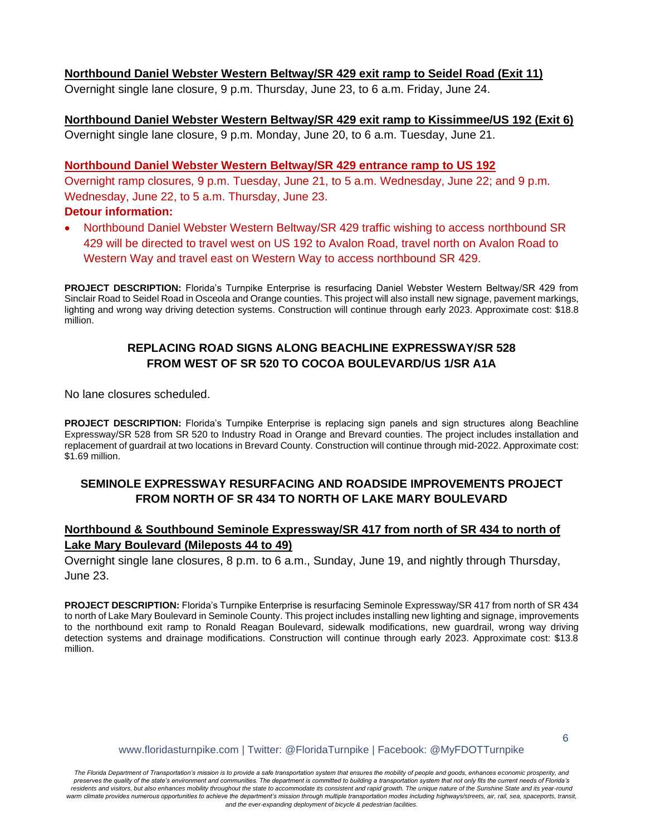#### **Northbound Daniel Webster Western Beltway/SR 429 exit ramp to Seidel Road (Exit 11)**

Overnight single lane closure, 9 p.m. Thursday, June 23, to 6 a.m. Friday, June 24.

**Northbound Daniel Webster Western Beltway/SR 429 exit ramp to Kissimmee/US 192 (Exit 6)** Overnight single lane closure, 9 p.m. Monday, June 20, to 6 a.m. Tuesday, June 21.

#### **Northbound Daniel Webster Western Beltway/SR 429 entrance ramp to US 192**

Overnight ramp closures, 9 p.m. Tuesday, June 21, to 5 a.m. Wednesday, June 22; and 9 p.m. Wednesday, June 22, to 5 a.m. Thursday, June 23.

#### **Detour information:**

• Northbound Daniel Webster Western Beltway/SR 429 traffic wishing to access northbound SR 429 will be directed to travel west on US 192 to Avalon Road, travel north on Avalon Road to Western Way and travel east on Western Way to access northbound SR 429.

**PROJECT DESCRIPTION:** Florida's Turnpike Enterprise is resurfacing Daniel Webster Western Beltway/SR 429 from Sinclair Road to Seidel Road in Osceola and Orange counties. This project will also install new signage, pavement markings, lighting and wrong way driving detection systems. Construction will continue through early 2023. Approximate cost: \$18.8 million.

### **REPLACING ROAD SIGNS ALONG BEACHLINE EXPRESSWAY/SR 528 FROM WEST OF SR 520 TO COCOA BOULEVARD/US 1/SR A1A**

No lane closures scheduled.

PROJECT DESCRIPTION: Florida's Turnpike Enterprise is replacing sign panels and sign structures along Beachline Expressway/SR 528 from SR 520 to Industry Road in Orange and Brevard counties. The project includes installation and replacement of guardrail at two locations in Brevard County. Construction will continue through mid-2022. Approximate cost: \$1.69 million.

### **SEMINOLE EXPRESSWAY RESURFACING AND ROADSIDE IMPROVEMENTS PROJECT FROM NORTH OF SR 434 TO NORTH OF LAKE MARY BOULEVARD**

### **Northbound & Southbound Seminole Expressway/SR 417 from north of SR 434 to north of Lake Mary Boulevard (Mileposts 44 to 49)**

Overnight single lane closures, 8 p.m. to 6 a.m., Sunday, June 19, and nightly through Thursday, June 23.

**PROJECT DESCRIPTION:** Florida's Turnpike Enterprise is resurfacing Seminole Expressway/SR 417 from north of SR 434 to north of Lake Mary Boulevard in Seminole County. This project includes installing new lighting and signage, improvements to the northbound exit ramp to Ronald Reagan Boulevard, sidewalk modifications, new guardrail, wrong way driving detection systems and drainage modifications. Construction will continue through early 2023. Approximate cost: \$13.8 million.

www.floridasturnpike.com | Twitter: @FloridaTurnpike | Facebook: @MyFDOTTurnpike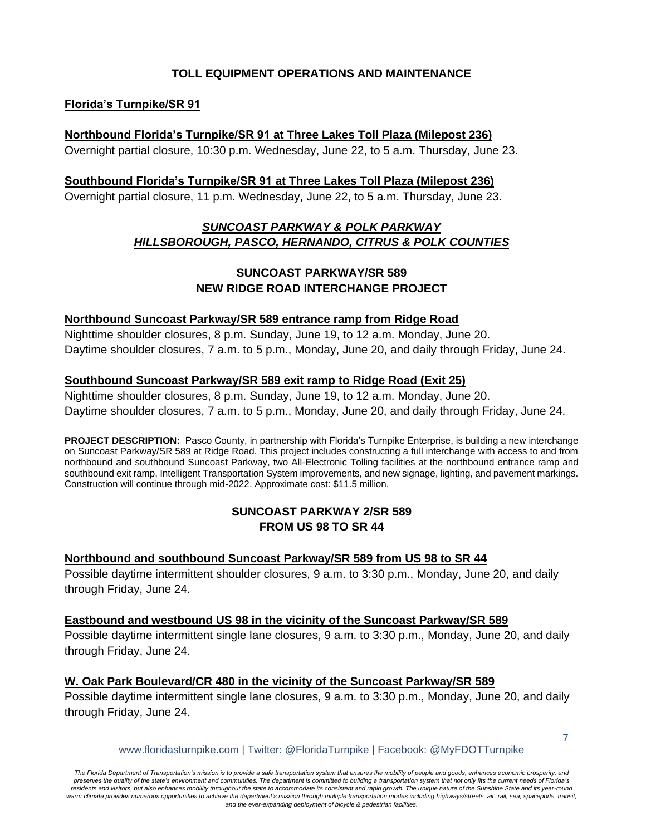### **TOLL EQUIPMENT OPERATIONS AND MAINTENANCE**

### **Florida's Turnpike/SR 91**

#### **Northbound Florida's Turnpike/SR 91 at Three Lakes Toll Plaza (Milepost 236)**

Overnight partial closure, 10:30 p.m. Wednesday, June 22, to 5 a.m. Thursday, June 23.

#### **Southbound Florida's Turnpike/SR 91 at Three Lakes Toll Plaza (Milepost 236)**

Overnight partial closure, 11 p.m. Wednesday, June 22, to 5 a.m. Thursday, June 23.

## *SUNCOAST PARKWAY & POLK PARKWAY HILLSBOROUGH, PASCO, HERNANDO, CITRUS & POLK COUNTIES*

## **SUNCOAST PARKWAY/SR 589 NEW RIDGE ROAD INTERCHANGE PROJECT**

### **Northbound Suncoast Parkway/SR 589 entrance ramp from Ridge Road**

Nighttime shoulder closures, 8 p.m. Sunday, June 19, to 12 a.m. Monday, June 20. Daytime shoulder closures, 7 a.m. to 5 p.m., Monday, June 20, and daily through Friday, June 24.

### **Southbound Suncoast Parkway/SR 589 exit ramp to Ridge Road (Exit 25)**

Nighttime shoulder closures, 8 p.m. Sunday, June 19, to 12 a.m. Monday, June 20. Daytime shoulder closures, 7 a.m. to 5 p.m., Monday, June 20, and daily through Friday, June 24.

**PROJECT DESCRIPTION:** Pasco County, in partnership with Florida's Turnpike Enterprise, is building a new interchange on Suncoast Parkway/SR 589 at Ridge Road. This project includes constructing a full interchange with access to and from northbound and southbound Suncoast Parkway, two All-Electronic Tolling facilities at the northbound entrance ramp and southbound exit ramp, Intelligent Transportation System improvements, and new signage, lighting, and pavement markings. Construction will continue through mid-2022. Approximate cost: \$11.5 million.

### **SUNCOAST PARKWAY 2/SR 589 FROM US 98 TO SR 44**

#### **Northbound and southbound Suncoast Parkway/SR 589 from US 98 to SR 44**

Possible daytime intermittent shoulder closures, 9 a.m. to 3:30 p.m., Monday, June 20, and daily through Friday, June 24.

#### **Eastbound and westbound US 98 in the vicinity of the Suncoast Parkway/SR 589**

Possible daytime intermittent single lane closures, 9 a.m. to 3:30 p.m., Monday, June 20, and daily through Friday, June 24.

### **W. Oak Park Boulevard/CR 480 in the vicinity of the Suncoast Parkway/SR 589**

Possible daytime intermittent single lane closures, 9 a.m. to 3:30 p.m., Monday, June 20, and daily through Friday, June 24.

www.floridasturnpike.com | Twitter: @FloridaTurnpike | Facebook: @MyFDOTTurnpike

7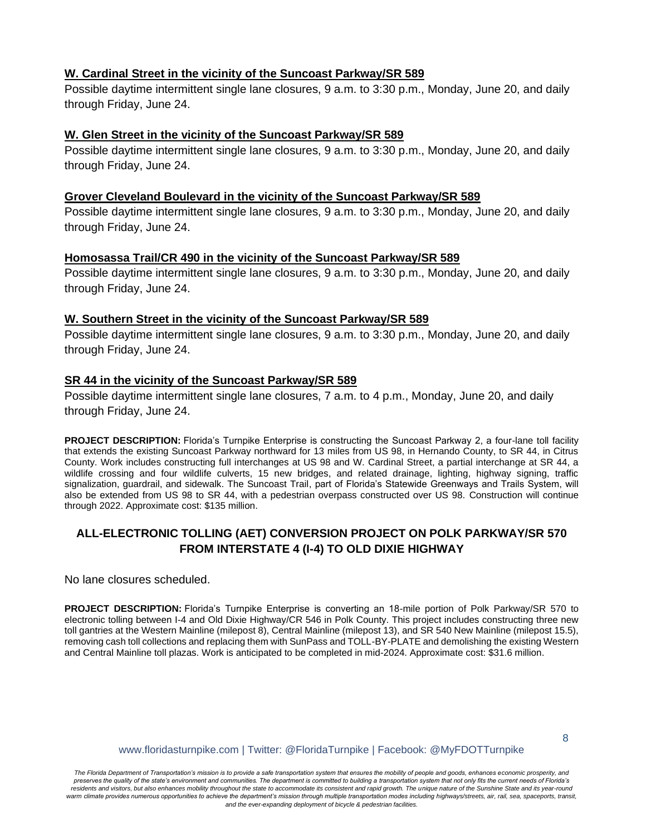#### **W. Cardinal Street in the vicinity of the Suncoast Parkway/SR 589**

Possible daytime intermittent single lane closures, 9 a.m. to 3:30 p.m., Monday, June 20, and daily through Friday, June 24.

#### **W. Glen Street in the vicinity of the Suncoast Parkway/SR 589**

Possible daytime intermittent single lane closures, 9 a.m. to 3:30 p.m., Monday, June 20, and daily through Friday, June 24.

#### **Grover Cleveland Boulevard in the vicinity of the Suncoast Parkway/SR 589**

Possible daytime intermittent single lane closures, 9 a.m. to 3:30 p.m., Monday, June 20, and daily through Friday, June 24.

#### **Homosassa Trail/CR 490 in the vicinity of the Suncoast Parkway/SR 589**

Possible daytime intermittent single lane closures, 9 a.m. to 3:30 p.m., Monday, June 20, and daily through Friday, June 24.

#### **W. Southern Street in the vicinity of the Suncoast Parkway/SR 589**

Possible daytime intermittent single lane closures, 9 a.m. to 3:30 p.m., Monday, June 20, and daily through Friday, June 24.

#### **SR 44 in the vicinity of the Suncoast Parkway/SR 589**

Possible daytime intermittent single lane closures, 7 a.m. to 4 p.m., Monday, June 20, and daily through Friday, June 24.

**PROJECT DESCRIPTION:** Florida's Turnpike Enterprise is constructing the Suncoast Parkway 2, a four-lane toll facility that extends the existing Suncoast Parkway northward for 13 miles from US 98, in Hernando County, to SR 44, in Citrus County. Work includes constructing full interchanges at US 98 and W. Cardinal Street, a partial interchange at SR 44, a wildlife crossing and four wildlife culverts, 15 new bridges, and related drainage, lighting, highway signing, traffic signalization, guardrail, and sidewalk. The Suncoast Trail, part of Florida's Statewide Greenways and Trails System, will also be extended from US 98 to SR 44, with a pedestrian overpass constructed over US 98. Construction will continue through 2022. Approximate cost: \$135 million.

### **ALL-ELECTRONIC TOLLING (AET) CONVERSION PROJECT ON POLK PARKWAY/SR 570 FROM INTERSTATE 4 (I-4) TO OLD DIXIE HIGHWAY**

No lane closures scheduled.

**PROJECT DESCRIPTION:** Florida's Turnpike Enterprise is converting an 18-mile portion of Polk Parkway/SR 570 to electronic tolling between I-4 and Old Dixie Highway/CR 546 in Polk County. This project includes constructing three new toll gantries at the Western Mainline (milepost 8), Central Mainline (milepost 13), and SR 540 New Mainline (milepost 15.5), removing cash toll collections and replacing them with SunPass and TOLL-BY-PLATE and demolishing the existing Western and Central Mainline toll plazas. Work is anticipated to be completed in mid-2024. Approximate cost: \$31.6 million.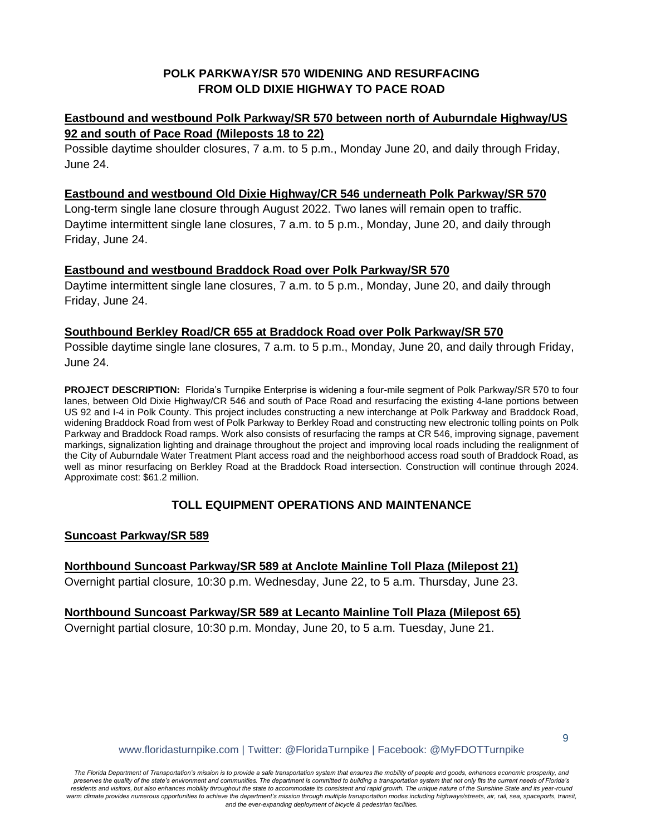## **POLK PARKWAY/SR 570 WIDENING AND RESURFACING FROM OLD DIXIE HIGHWAY TO PACE ROAD**

## **Eastbound and westbound Polk Parkway/SR 570 between north of Auburndale Highway/US 92 and south of Pace Road (Mileposts 18 to 22)**

Possible daytime shoulder closures, 7 a.m. to 5 p.m., Monday June 20, and daily through Friday, June 24.

### **Eastbound and westbound Old Dixie Highway/CR 546 underneath Polk Parkway/SR 570**

Long-term single lane closure through August 2022. Two lanes will remain open to traffic. Daytime intermittent single lane closures, 7 a.m. to 5 p.m., Monday, June 20, and daily through Friday, June 24.

#### **Eastbound and westbound Braddock Road over Polk Parkway/SR 570**

Daytime intermittent single lane closures, 7 a.m. to 5 p.m., Monday, June 20, and daily through Friday, June 24.

### **Southbound Berkley Road/CR 655 at Braddock Road over Polk Parkway/SR 570**

Possible daytime single lane closures, 7 a.m. to 5 p.m., Monday, June 20, and daily through Friday, June 24.

**PROJECT DESCRIPTION:** Florida's Turnpike Enterprise is widening a four-mile segment of Polk Parkway/SR 570 to four lanes, between Old Dixie Highway/CR 546 and south of Pace Road and resurfacing the existing 4-lane portions between US 92 and I-4 in Polk County. This project includes constructing a new interchange at Polk Parkway and Braddock Road, widening Braddock Road from west of Polk Parkway to Berkley Road and constructing new electronic tolling points on Polk Parkway and Braddock Road ramps. Work also consists of resurfacing the ramps at CR 546, improving signage, pavement markings, signalization lighting and drainage throughout the project and improving local roads including the realignment of the City of Auburndale Water Treatment Plant access road and the neighborhood access road south of Braddock Road, as well as minor resurfacing on Berkley Road at the Braddock Road intersection. Construction will continue through 2024. Approximate cost: \$61.2 million.

### **TOLL EQUIPMENT OPERATIONS AND MAINTENANCE**

#### **Suncoast Parkway/SR 589**

**Northbound Suncoast Parkway/SR 589 at Anclote Mainline Toll Plaza (Milepost 21)** Overnight partial closure, 10:30 p.m. Wednesday, June 22, to 5 a.m. Thursday, June 23.

#### **Northbound Suncoast Parkway/SR 589 at Lecanto Mainline Toll Plaza (Milepost 65)** Overnight partial closure, 10:30 p.m. Monday, June 20, to 5 a.m. Tuesday, June 21.